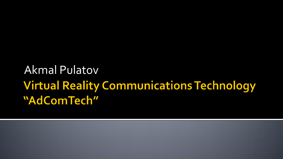## Akmal Pulatov**Virtual Reality Communications Technology** "AdComTech"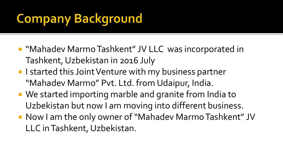# **Company Background**

- "Mahadev Marmo Tashkent" JV LLC was incorporated in Tashkent, Uzbekistan in 2016 July
- **I** I started this Joint Venture with my business partner "Mahadev Marmo" Pvt. Ltd. from Udaipur, India.
- We started importing marble and granite from India to Uzbekistan but now I am moving into different business.
- Now I am the only owner of "Mahadev Marmo Tashkent" JV LLC in Tashkent, Uzbekistan.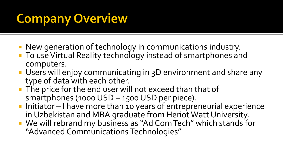# **Company Overview**

- New generation of technology in communications industry.
- **T** To use Virtual Reality technology instead of smartphones and computers.
- **Users will enjoy communicating in 3D environment and share any** type of data with each other.
- The price for the end user will not exceed than that of smartphones (1000 USD – 1500 USD per piece).
- **Initiator I have more than 10 years of entrepreneurial experience** in Uzbekistan and MBA graduate from Heriot Watt University.
- We will rebrand my business as "Ad Com Tech" which stands for "Advanced Communications Technologies"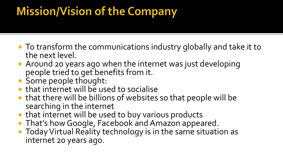## **Mission/Vision of the Company**

- To transform the communications industry globally and take it to the next level.
- Around 20 years ago when the internet was just developing people tried to get benefits from it.
- Some people thought:
- **that internet will be used to socialise**
- that there will be billions of websites so that people will be searching in the internet
- that internet will be used to buy various products
- **That's how Google, Facebook and Amazon appeared.**
- Today Virtual Reality technology is in the same situation as internet 20 years ago.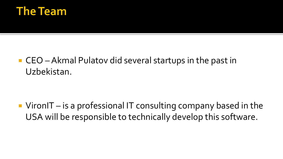

■ CEO – Akmal Pulatov did several startups in the past in Uzbekistan.

 $\blacksquare$  VironIT – is a professional IT consulting company based in the USA will be responsible to technically develop this software.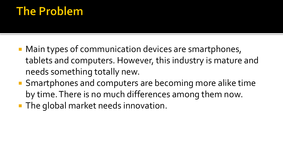### **The Problem**

- Main types of communication devices are smartphones, tablets and computers. However, this industry is mature and needs something totally new.
- Smartphones and computers are becoming more alike time by time. There is no much differences among them now.
- **The global market needs innovation.**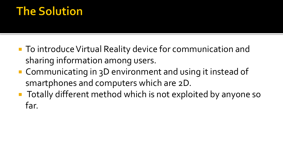### **The Solution**

- To introduce Virtual Reality device for communication and sharing information among users.
- Communicating in 3D environment and using it instead of smartphones and computers which are 2D.
- **Totally different method which is not exploited by anyone so** far.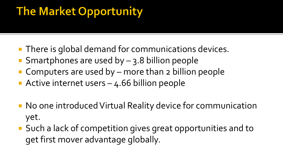## **The Market Opportunity**

- **There is global demand for communications devices.**
- Smartphones are used by  $-$  3.8 billion people
- Computers are used by more than 2 billion people
- Active internet users 4.66 billion people
- No one introduced Virtual Reality device for communication yet.
- Such a lack of competition gives great opportunities and to get first mover advantage globally.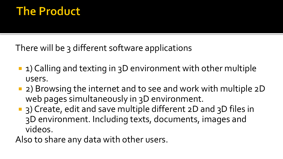### **The Product**

There will be 3 different software applications

- **1)** Calling and texting in 3D environment with other multiple users.
- 2) Browsing the internet and to see and work with multiple 2D web pages simultaneously in 3D environment.
- 3) Create, edit and save multiple different 2D and 3D files in 3D environment. Including texts, documents, images and videos.

Also to share any data with other users.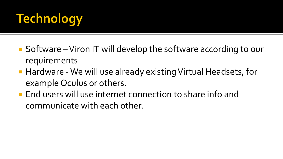# **Technology**

- Software Viron IT will develop the software according to our requirements
- Hardware We will use already existing Virtual Headsets, for example Oculus or others.
- **End users will use internet connection to share info and** communicate with each other.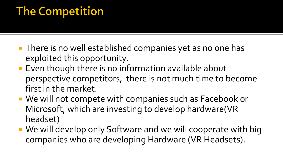### **The Competition**

- **There is no well established companies yet as no one has** exploited this opportunity.
- **Exen though there is no information available about** perspective competitors, there is not much time to become first in the market.
- We will not compete with companies such as Facebook or Microsoft, which are investing to develop hardware(VR headset)
- We will develop only Software and we will cooperate with big companies who are developing Hardware (VR Headsets).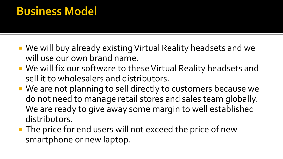### **Business Model**

- We will buy already existing Virtual Reality headsets and we will use our own brand name.
- We will fix our software to these Virtual Reality headsets and sell it to wholesalers and distributors.
- We are not planning to sell directly to customers because we do not need to manage retail stores and sales team globally. We are ready to give away some margin to well established distributors.
- The price for end users will not exceed the price of new smartphone or new laptop.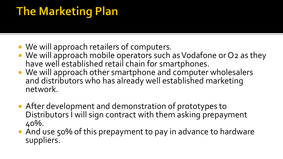## **The Marketing Plan**

- We will approach retailers of computers.
- We will approach mobile operators such as Vodafone or O2 as they have well established retail chain for smartphones.
- We will approach other smartphone and computer wholesalers and distributors who has already well established marketing network.
- After development and demonstration of prototypes to Distributors I will sign contract with them asking prepayment 40%.
- And use 50% of this prepayment to pay in advance to hardware suppliers.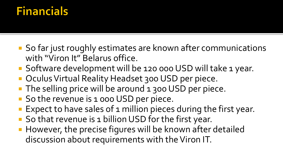### **Financials**

- So far just roughly estimates are known after communications with "Viron It" Belarus office.
- Software development will be 120 000 USD will take 1 year.
- Oculus Virtual Reality Headset 300 USD per piece.
- The selling price will be around 1 300 USD per piece.
- So the revenue is 1 000 USD per piece.
- **Expect to have sales of 1 million pieces during the first year.**
- So that revenue is 1 billion USD for the first year.
- **However, the precise figures will be known after detailed** discussion about requirements with the Viron IT.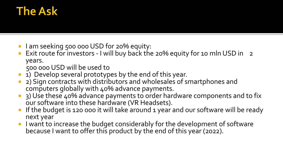### **The Ask**

- I am seeking 500 000 USD for 20% equity:
- Exit route for investors I will buy back the 20% equity for 10 mln USD in 2 years.

500 000 USD will be used to

- 1) Develop several prototypes by the end of this year.
- 2) Sign contracts with distributors and wholesales of smartphones and computers globally with 40% advance payments.
- 3) Use these 40% advance payments to order hardware components and to fix our software into these hardware (VR Headsets).
- If the budget is 120 000 it will take around 1 year and our software will be ready next year
- I want to increase the budget considerably for the development of software because I want to offer this product by the end of this year (2022).